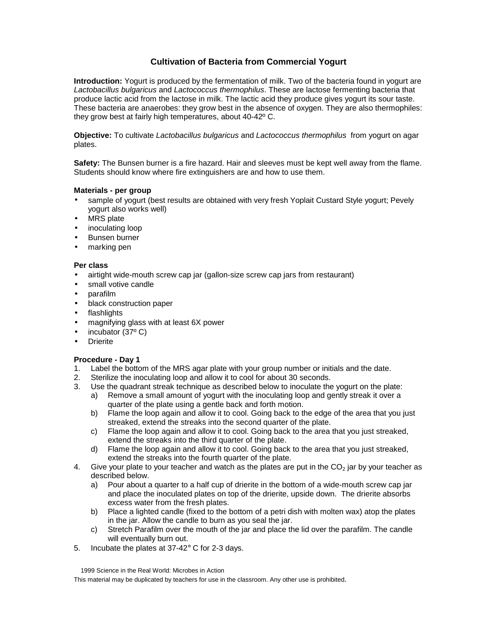# **Cultivation of Bacteria from Commercial Yogurt**

**Introduction:** Yogurt is produced by the fermentation of milk. Two of the bacteria found in yogurt are *Lactobacillus bulgaricus* and *Lactococcus thermophilus*. These are lactose fermenting bacteria that produce lactic acid from the lactose in milk. The lactic acid they produce gives yogurt its sour taste. These bacteria are anaerobes: they grow best in the absence of oxygen. They are also thermophiles: they grow best at fairly high temperatures, about 40-42º C.

**Objective:** To cultivate *Lactobacillus bulgaricus* and *Lactococcus thermophilus* from yogurt on agar plates.

**Safety:** The Bunsen burner is a fire hazard. Hair and sleeves must be kept well away from the flame. Students should know where fire extinguishers are and how to use them.

#### **Materials - per group**

- sample of yogurt (best results are obtained with very fresh Yoplait Custard Style yogurt; Pevely yogurt also works well)
- **MRS** plate
- inoculating loop
- Bunsen burner
- marking pen

### **Per class**

- airtight wide-mouth screw cap jar (gallon-size screw cap jars from restaurant)
- small votive candle
- parafilm
- black construction paper
- flashlights
- magnifying glass with at least 6X power
- incubator (37º C)
- **Drierite**

### **Procedure - Day 1**

- 1. Label the bottom of the MRS agar plate with your group number or initials and the date.
- 2. Sterilize the inoculating loop and allow it to cool for about 30 seconds.
- 3. Use the quadrant streak technique as described below to inoculate the yogurt on the plate:
	- a) Remove a small amount of yogurt with the inoculating loop and gently streak it over a quarter of the plate using a gentle back and forth motion.
	- b) Flame the loop again and allow it to cool. Going back to the edge of the area that you just streaked, extend the streaks into the second quarter of the plate.
	- c) Flame the loop again and allow it to cool. Going back to the area that you just streaked, extend the streaks into the third quarter of the plate.
	- d) Flame the loop again and allow it to cool. Going back to the area that you just streaked, extend the streaks into the fourth quarter of the plate.
- 4. Give your plate to your teacher and watch as the plates are put in the  $CO<sub>2</sub>$  jar by your teacher as described below.
	- a) Pour about a quarter to a half cup of drierite in the bottom of a wide-mouth screw cap jar and place the inoculated plates on top of the drierite, upside down. The drierite absorbs excess water from the fresh plates.
	- b) Place a lighted candle (fixed to the bottom of a petri dish with molten wax) atop the plates in the jar. Allow the candle to burn as you seal the jar.
	- c) Stretch Parafilm over the mouth of the jar and place the lid over the parafilm. The candle will eventually burn out.
- 5. Incubate the plates at 37-42° C for 2-3 days.

 <sup>1999</sup> Science in the Real World: Microbes in Action

This material may be duplicated by teachers for use in the classroom. Any other use is prohibited.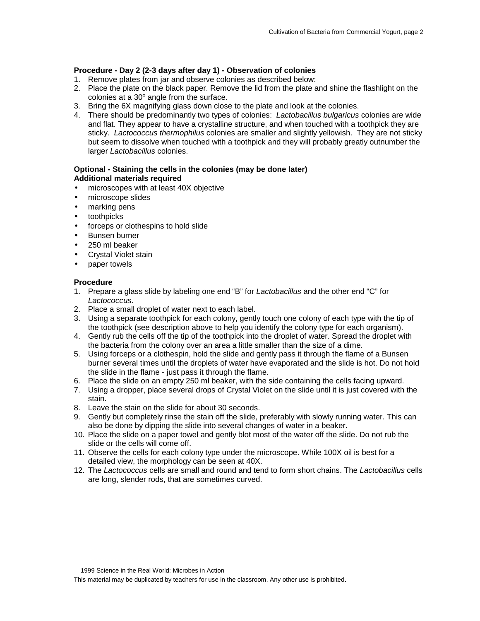### **Procedure - Day 2 (2-3 days after day 1) - Observation of colonies**

- 1. Remove plates from jar and observe colonies as described below:
- 2. Place the plate on the black paper. Remove the lid from the plate and shine the flashlight on the colonies at a 30º angle from the surface.
- 3. Bring the 6X magnifying glass down close to the plate and look at the colonies.
- 4. There should be predominantly two types of colonies: *Lactobacillus bulgaricus* colonies are wide and flat. They appear to have a crystalline structure, and when touched with a toothpick they are sticky. *Lactococcus thermophilus* colonies are smaller and slightly yellowish. They are not sticky but seem to dissolve when touched with a toothpick and they will probably greatly outnumber the larger *Lactobacillus* colonies.

### **Optional - Staining the cells in the colonies (may be done later) Additional materials required**

- microscopes with at least 40X objective
- microscope slides
- marking pens
- toothpicks
- forceps or clothespins to hold slide
- Bunsen burner
- 250 ml beaker
- Crystal Violet stain
- paper towels

### **Procedure**

- 1. Prepare a glass slide by labeling one end "B" for *Lactobacillus* and the other end "C" for *Lactococcus*.
- 2. Place a small droplet of water next to each label.
- 3. Using a separate toothpick for each colony, gently touch one colony of each type with the tip of the toothpick (see description above to help you identify the colony type for each organism).
- 4. Gently rub the cells off the tip of the toothpick into the droplet of water. Spread the droplet with the bacteria from the colony over an area a little smaller than the size of a dime.
- 5. Using forceps or a clothespin, hold the slide and gently pass it through the flame of a Bunsen burner several times until the droplets of water have evaporated and the slide is hot. Do not hold the slide in the flame - just pass it through the flame.
- 6. Place the slide on an empty 250 ml beaker, with the side containing the cells facing upward.
- 7. Using a dropper, place several drops of Crystal Violet on the slide until it is just covered with the stain.
- 8. Leave the stain on the slide for about 30 seconds.
- 9. Gently but completely rinse the stain off the slide, preferably with slowly running water. This can also be done by dipping the slide into several changes of water in a beaker.
- 10. Place the slide on a paper towel and gently blot most of the water off the slide. Do not rub the slide or the cells will come off.
- 11. Observe the cells for each colony type under the microscope. While 100X oil is best for a detailed view, the morphology can be seen at 40X.
- 12. The *Lactococcus* cells are small and round and tend to form short chains. The *Lactobacillus* cells are long, slender rods, that are sometimes curved.

 <sup>1999</sup> Science in the Real World: Microbes in Action

This material may be duplicated by teachers for use in the classroom. Any other use is prohibited.